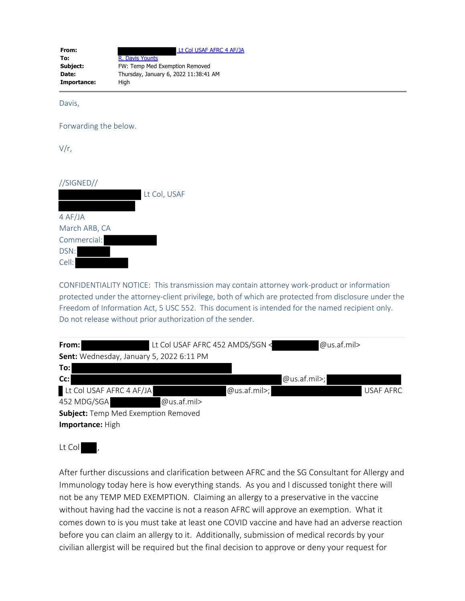| From:       | Lt Col USAF AFRC 4 AF/JA              |  |  |
|-------------|---------------------------------------|--|--|
| To:         | R. Davis Younts                       |  |  |
| Subject:    | FW: Temp Med Exemption Removed        |  |  |
| Date:       | Thursday, January 6, 2022 11:38:41 AM |  |  |
| Importance: | Hiah                                  |  |  |

Davis,

Forwarding the below.

V/r,

//SIGNED//

|               | Lt Col, USAF |
|---------------|--------------|
|               |              |
| 4 AF/JA       |              |
| March ARB, CA |              |
| Commercial:   |              |
| DSN:          |              |
| Cell:         |              |

CONFIDENTIALITY NOTICE: This transmission may contain attorney work-product or information protected under the attorney-client privilege, both of which are protected from disclosure under the Freedom of Information Act, 5 USC 552. This document is intended for the named recipient only. Do not release without prior authorization of the sender.

| From:                                      | Lt Col USAF AFRC 452 AMDS/SGN < |                 | $@$ us.af.mil>  |           |
|--------------------------------------------|---------------------------------|-----------------|-----------------|-----------|
| Sent: Wednesday, January 5, 2022 6:11 PM   |                                 |                 |                 |           |
| To:                                        |                                 |                 |                 |           |
| $Cc$ :                                     |                                 |                 | $@$ us.af.mil>; |           |
| Lt Col USAF AFRC 4 AF/JA                   |                                 | $@$ us.af.mil>; |                 | USAF AFRC |
| 452 MDG/SGA                                | $@$ us.af.mil>                  |                 |                 |           |
| <b>Subject:</b> Temp Med Exemption Removed |                                 |                 |                 |           |
| Importance: High                           |                                 |                 |                 |           |

Lt Col,

After further discussions and clarification between AFRC and the SG Consultant for Allergy and Immunology today here is how everything stands. As you and I discussed tonight there will not be any TEMP MED EXEMPTION. Claiming an allergy to a preservative in the vaccine without having had the vaccine is not a reason AFRC will approve an exemption. What it comes down to is you must take at least one COVID vaccine and have had an adverse reaction before you can claim an allergy to it. Additionally, submission of medical records by your civilian allergist will be required but the final decision to approve or deny your request for